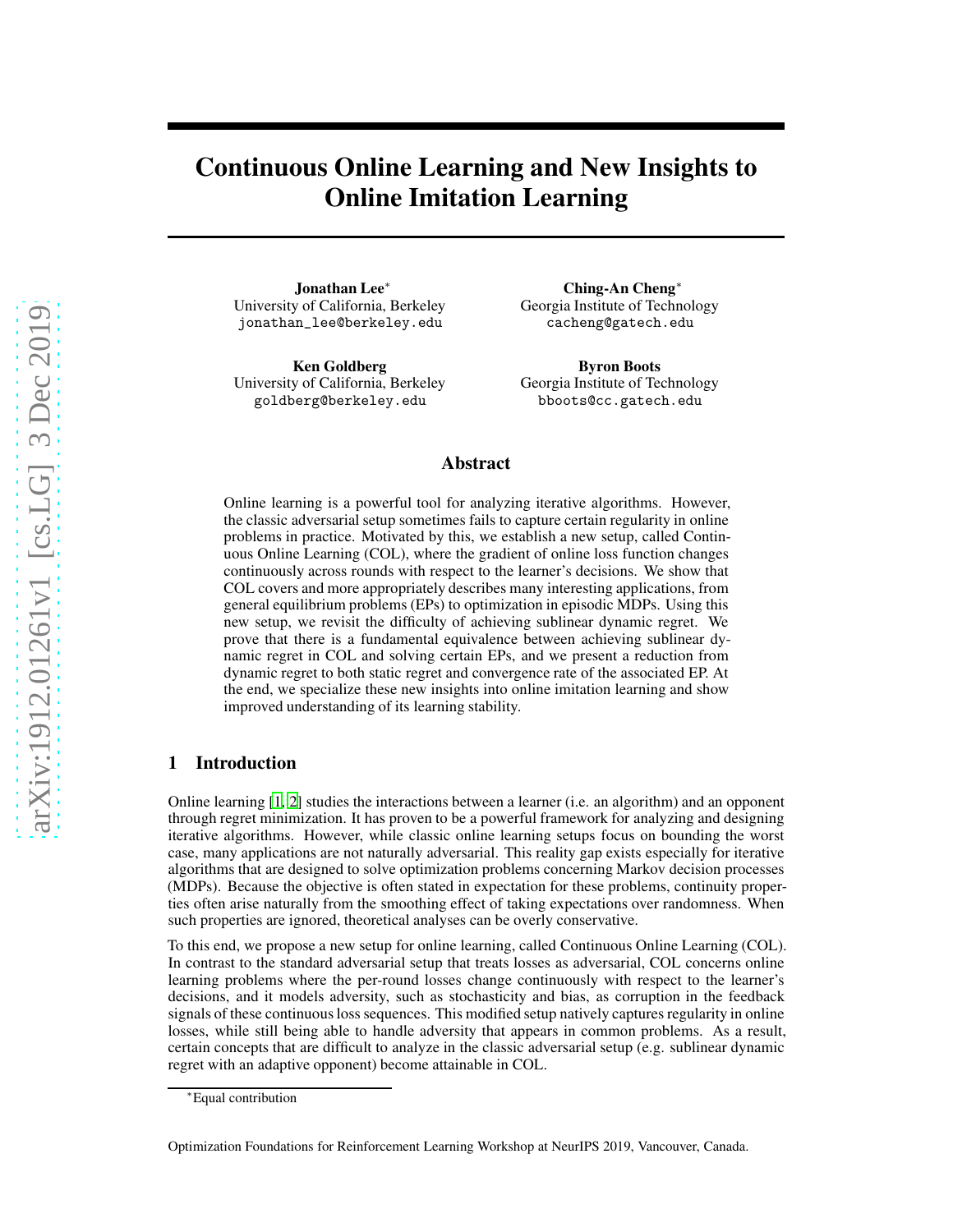# Continuous Online Learning and New Insights to Online Imitation Learning

Jonathan Lee∗ University of California, Berkeley jonathan\_lee@berkeley.edu

Ken Goldberg University of California, Berkeley goldberg@berkeley.edu

Ching-An Cheng∗ Georgia Institute of Technology cacheng@gatech.edu

Byron Boots Georgia Institute of Technology bboots@cc.gatech.edu

# Abstract

Online learning is a powerful tool for analyzing iterative algorithms. However, the classic adversarial setup sometimes fails to capture certain regularity in online problems in practice. Motivated by this, we establish a new setup, called Continuous Online Learning (COL), where the gradient of online loss function changes continuously across rounds with respect to the learner's decisions. We show that COL covers and more appropriately describes many interesting applications, from general equilibrium problems (EPs) to optimization in episodic MDPs. Using this new setup, we revisit the difficulty of achieving sublinear dynamic regret. We prove that there is a fundamental equivalence between achieving sublinear dynamic regret in COL and solving certain EPs, and we present a reduction from dynamic regret to both static regret and convergence rate of the associated EP. At the end, we specialize these new insights into online imitation learning and show improved understanding of its learning stability.

# 1 Introduction

Online learning [\[1,](#page-6-0) [2\]](#page-6-1) studies the interactions between a learner (i.e. an algorithm) and an opponent through regret minimization. It has proven to be a powerful framework for analyzing and designing iterative algorithms. However, while classic online learning setups focus on bounding the worst case, many applications are not naturally adversarial. This reality gap exists especially for iterative algorithms that are designed to solve optimization problems concerning Markov decision processes (MDPs). Because the objective is often stated in expectation for these problems, continuity properties often arise naturally from the smoothing effect of taking expectations over randomness. When such properties are ignored, theoretical analyses can be overly conservative.

To this end, we propose a new setup for online learning, called Continuous Online Learning (COL). In contrast to the standard adversarial setup that treats losses as adversarial, COL concerns online learning problems where the per-round losses change continuously with respect to the learner's decisions, and it models adversity, such as stochasticity and bias, as corruption in the feedback signals of these continuous loss sequences. This modified setup natively captures regularity in online losses, while still being able to handle adversity that appears in common problems. As a result, certain concepts that are difficult to analyze in the classic adversarial setup (e.g. sublinear dynamic regret with an adaptive opponent) become attainable in COL.

<sup>∗</sup>Equal contribution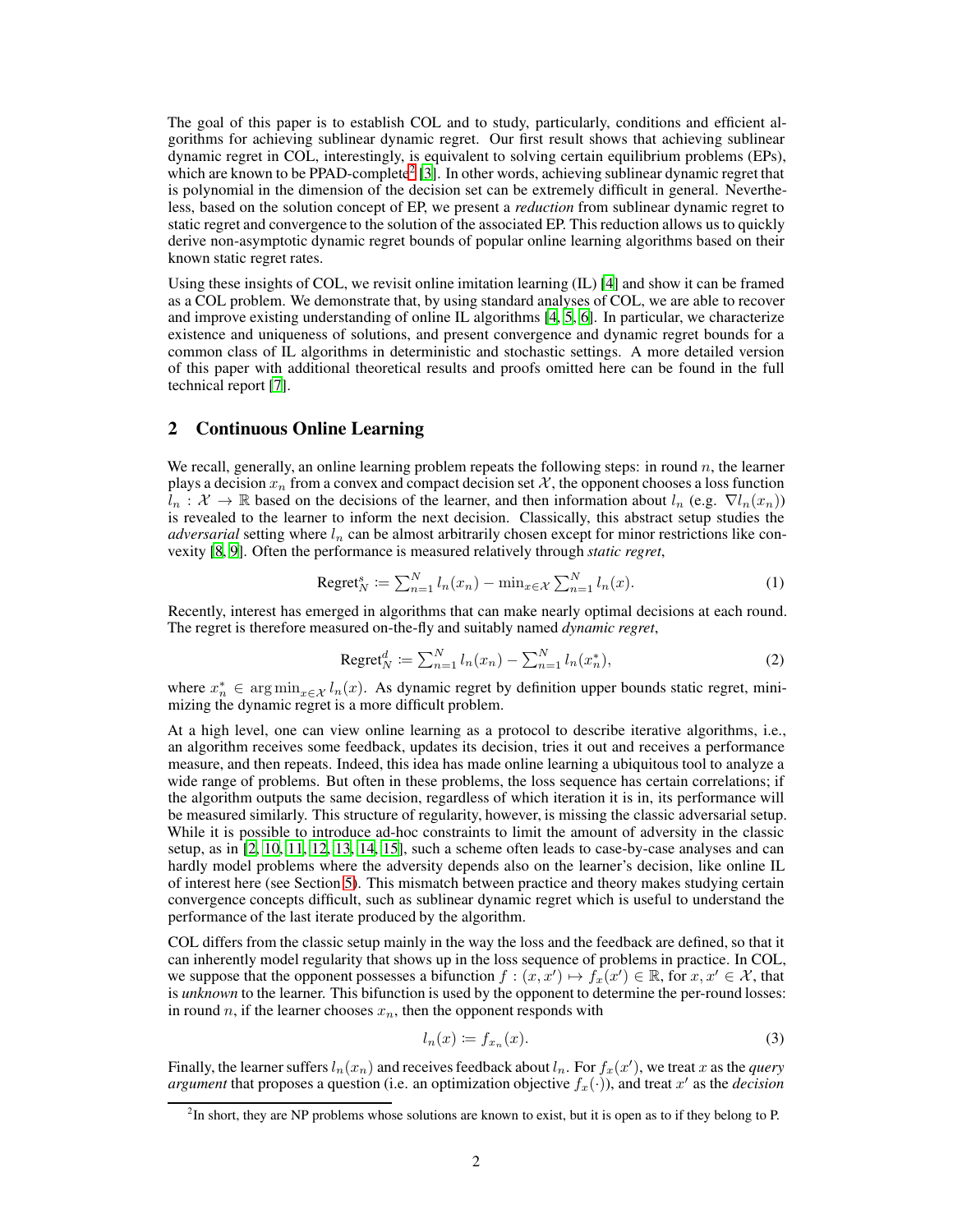The goal of this paper is to establish COL and to study, particularly, conditions and efficient algorithms for achieving sublinear dynamic regret. Our first result shows that achieving sublinear dynamic regret in COL, interestingly, is equivalent to solving certain equilibrium problems (EPs), which are known to be PPAD-complete<sup>[2](#page-1-0)</sup> [\[3\]](#page-6-2). In other words, achieving sublinear dynamic regret that is polynomial in the dimension of the decision set can be extremely difficult in general. Nevertheless, based on the solution concept of EP, we present a *reduction* from sublinear dynamic regret to static regret and convergence to the solution of the associated EP. This reduction allows us to quickly derive non-asymptotic dynamic regret bounds of popular online learning algorithms based on their known static regret rates.

Using these insights of COL, we revisit online imitation learning (IL) [\[4](#page-6-3)] and show it can be framed as a COL problem. We demonstrate that, by using standard analyses of COL, we are able to recover and improve existing understanding of online IL algorithms [\[4,](#page-6-3) [5](#page-6-4), [6](#page-6-5)]. In particular, we characterize existence and uniqueness of solutions, and present convergence and dynamic regret bounds for a common class of IL algorithms in deterministic and stochastic settings. A more detailed version of this paper with additional theoretical results and proofs omitted here can be found in the full technical report [\[7](#page-6-6)].

### 2 Continuous Online Learning

We recall, generally, an online learning problem repeats the following steps: in round  $n$ , the learner plays a decision  $x_n$  from a convex and compact decision set X, the opponent chooses a loss function  $l_n : \mathcal{X} \to \mathbb{R}$  based on the decisions of the learner, and then information about  $l_n$  (e.g.  $\nabla l_n(x_n)$ ) is revealed to the learner to inform the next decision. Classically, this abstract setup studies the *adversarial* setting where  $l_n$  can be almost arbitrarily chosen except for minor restrictions like convexity [\[8](#page-6-7), [9](#page-6-8)]. Often the performance is measured relatively through *static regret*,

Regret<sub>N</sub><sup>s</sup> := 
$$
\sum_{n=1}^{N} l_n(x_n) - \min_{x \in \mathcal{X}} \sum_{n=1}^{N} l_n(x)
$$
. (1)

Recently, interest has emerged in algorithms that can make nearly optimal decisions at each round. The regret is therefore measured on-the-fly and suitably named *dynamic regret*,

Regret<sup>d</sup><sub>N</sub> := 
$$
\sum_{n=1}^{N} l_n(x_n) - \sum_{n=1}^{N} l_n(x_n^*),
$$
 (2)

where  $x_n^* \in \arg \min_{x \in \mathcal{X}} l_n(x)$ . As dynamic regret by definition upper bounds static regret, minimizing the dynamic regret is a more difficult problem.

At a high level, one can view online learning as a protocol to describe iterative algorithms, i.e., an algorithm receives some feedback, updates its decision, tries it out and receives a performance measure, and then repeats. Indeed, this idea has made online learning a ubiquitous tool to analyze a wide range of problems. But often in these problems, the loss sequence has certain correlations; if the algorithm outputs the same decision, regardless of which iteration it is in, its performance will be measured similarly. This structure of regularity, however, is missing the classic adversarial setup. While it is possible to introduce ad-hoc constraints to limit the amount of adversity in the classic setup, as in [\[2,](#page-6-1) [10,](#page-6-9) [11,](#page-6-10) [12](#page-6-11), [13](#page-6-12), [14,](#page-6-13) [15\]](#page-6-14), such a scheme often leads to case-by-case analyses and can hardly model problems where the adversity depends also on the learner's decision, like online IL of interest here (see Section [5\)](#page-4-0). This mismatch between practice and theory makes studying certain convergence concepts difficult, such as sublinear dynamic regret which is useful to understand the performance of the last iterate produced by the algorithm.

COL differs from the classic setup mainly in the way the loss and the feedback are defined, so that it can inherently model regularity that shows up in the loss sequence of problems in practice. In COL, we suppose that the opponent possesses a bifunction  $f : (x, x') \mapsto f_x(x') \in \mathbb{R}$ , for  $x, x' \in \mathcal{X}$ , that is *unknown* to the learner. This bifunction is used by the opponent to determine the per-round losses: in round n, if the learner chooses  $x_n$ , then the opponent responds with

<span id="page-1-1"></span>
$$
l_n(x) \coloneqq f_{x_n}(x). \tag{3}
$$

Finally, the learner suffers  $l_n(x_n)$  and receives feedback about  $l_n$ . For  $f_x(x')$ , we treat x as the *query argument* that proposes a question (i.e. an optimization objective  $f_x(\cdot)$ ), and treat  $x'$  as the *decision* 

<span id="page-1-0"></span><sup>&</sup>lt;sup>2</sup>In short, they are NP problems whose solutions are known to exist, but it is open as to if they belong to P.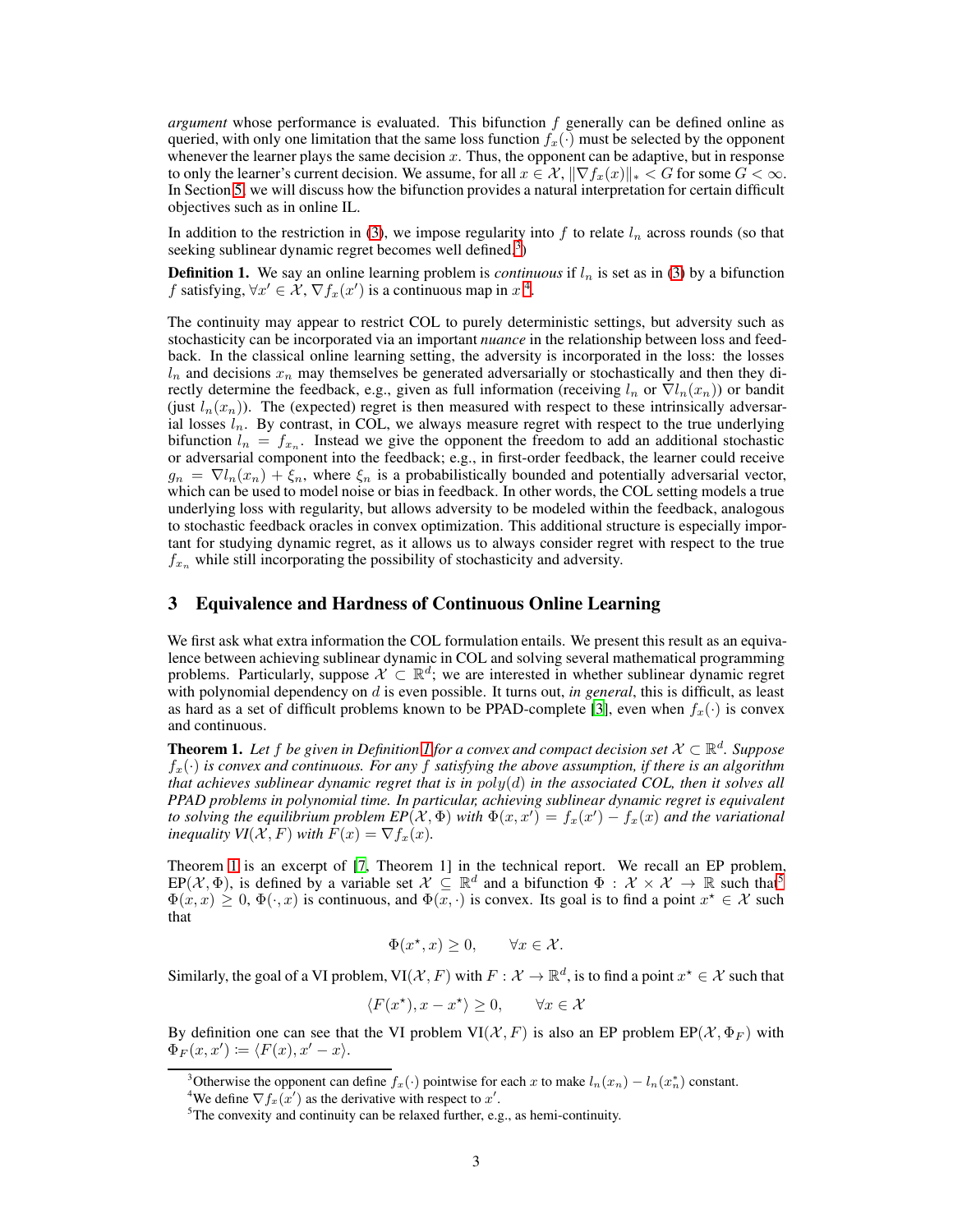*argument* whose performance is evaluated. This bifunction f generally can be defined online as queried, with only one limitation that the same loss function  $f_x(\cdot)$  must be selected by the opponent whenever the learner plays the same decision  $x$ . Thus, the opponent can be adaptive, but in response to only the learner's current decision. We assume, for all  $x \in \mathcal{X}, \|\nabla f_x(x)\|_* < G$  for some  $G < \infty$ . In Section [5,](#page-4-0) we will discuss how the bifunction provides a natural interpretation for certain difficult objectives such as in online IL.

<span id="page-2-2"></span>In addition to the restriction in [\(3\)](#page-1-1), we impose regularity into  $f$  to relate  $l_n$  across rounds (so that seeking sublinear dynamic regret becomes well defined.<sup>[3](#page-2-0)</sup>)

**Definition 1.** We say an online learning problem is *continuous* if  $l_n$  is set as in [\(3\)](#page-1-1) by a bifunction f satisfying,  $\forall x' \in \mathcal{X}, \nabla f_x(x')$  is a continuous map in  $x^4$  $x^4$ .

The continuity may appear to restrict COL to purely deterministic settings, but adversity such as stochasticity can be incorporated via an important *nuance* in the relationship between loss and feedback. In the classical online learning setting, the adversity is incorporated in the loss: the losses  $l_n$  and decisions  $x_n$  may themselves be generated adversarially or stochastically and then they directly determine the feedback, e.g., given as full information (receiving  $l_n$  or  $\nabla l_n(x_n)$ ) or bandit (just  $l_n(x_n)$ ). The (expected) regret is then measured with respect to these intrinsically adversarial losses  $l_n$ . By contrast, in COL, we always measure regret with respect to the true underlying bifunction  $l_n = f_{x_n}$ . Instead we give the opponent the freedom to add an additional stochastic or adversarial component into the feedback; e.g., in first-order feedback, the learner could receive  $g_n = \nabla l_n(x_n) + \xi_n$ , where  $\xi_n$  is a probabilistically bounded and potentially adversarial vector, which can be used to model noise or bias in feedback. In other words, the COL setting models a true underlying loss with regularity, but allows adversity to be modeled within the feedback, analogous to stochastic feedback oracles in convex optimization. This additional structure is especially important for studying dynamic regret, as it allows us to always consider regret with respect to the true  $f_{x_n}$  while still incorporating the possibility of stochasticity and adversity.

# 3 Equivalence and Hardness of Continuous Online Learning

We first ask what extra information the COL formulation entails. We present this result as an equivalence between achieving sublinear dynamic in COL and solving several mathematical programming problems. Particularly, suppose  $\mathcal{X} \subset \mathbb{R}^d$ ; we are interested in whether sublinear dynamic regret with polynomial dependency on d is even possible. It turns out, *in general*, this is difficult, as least as hard as a set of difficult problems known to be PPAD-complete [\[3\]](#page-6-2), even when  $f_x(\cdot)$  is convex and continuous.

<span id="page-2-3"></span>**Theorem [1](#page-2-2).** Let f be given in Definition 1 for a convex and compact decision set  $X \subset \mathbb{R}^d$ . Suppose fx(·) *is convex and continuous. For any* f *satisfying the above assumption, if there is an algorithm that achieves sublinear dynamic regret that is in* poly(d) *in the associated COL, then it solves all PPAD problems in polynomial time. In particular, achieving sublinear dynamic regret is equivalent to solving the equilibrium problem*  $EP(X, \Phi)$  *with*  $\Phi(x, x') = f_x(x') - f_x(x)$  and the variational *inequality VI*( $\mathcal{X}, F$ ) *with*  $F(x) = \nabla f_x(x)$ *.* 

Theorem [1](#page-2-3) is an excerpt of [\[7](#page-6-6), Theorem 1] in the technical report. We recall an EP problem,  $EP(X, \Phi)$ , is defined by a variable set  $\mathcal{X} \subseteq \mathbb{R}^d$  and a bifunction  $\Phi : \mathcal{X} \times \mathcal{X} \to \mathbb{R}$  such that  $\Phi(x, x) \geq 0$ ,  $\Phi(\cdot, x)$  is continuous, and  $\Phi(x, \cdot)$  is convex. Its goal is to find a point  $x^* \in \mathcal{X}$  such that

$$
\Phi(x^\star, x) \ge 0, \qquad \forall x \in \mathcal{X}.
$$

Similarly, the goal of a VI problem,  $VI(X, F)$  with  $F: X \to \mathbb{R}^d$ , is to find a point  $x^* \in X$  such that

$$
\langle F(x^{\star}), x - x^{\star} \rangle \ge 0, \qquad \forall x \in \mathcal{X}
$$

By definition one can see that the VI problem  $VI(\mathcal{X}, F)$  is also an EP problem  $EP(\mathcal{X}, \Phi_F)$  with  $\Phi_F(x,x') \coloneqq \langle F(x), x'-x \rangle.$ 

<sup>&</sup>lt;sup>3</sup>Otherwise the opponent can define  $f_x(\cdot)$  pointwise for each x to make  $l_n(x_n) - l_n(x_n^*)$  constant.

<span id="page-2-0"></span><sup>&</sup>lt;sup>4</sup>We define  $\nabla f_x(x')$  as the derivative with respect to x'.

<span id="page-2-4"></span><span id="page-2-1"></span><sup>5</sup>The convexity and continuity can be relaxed further, e.g., as hemi-continuity.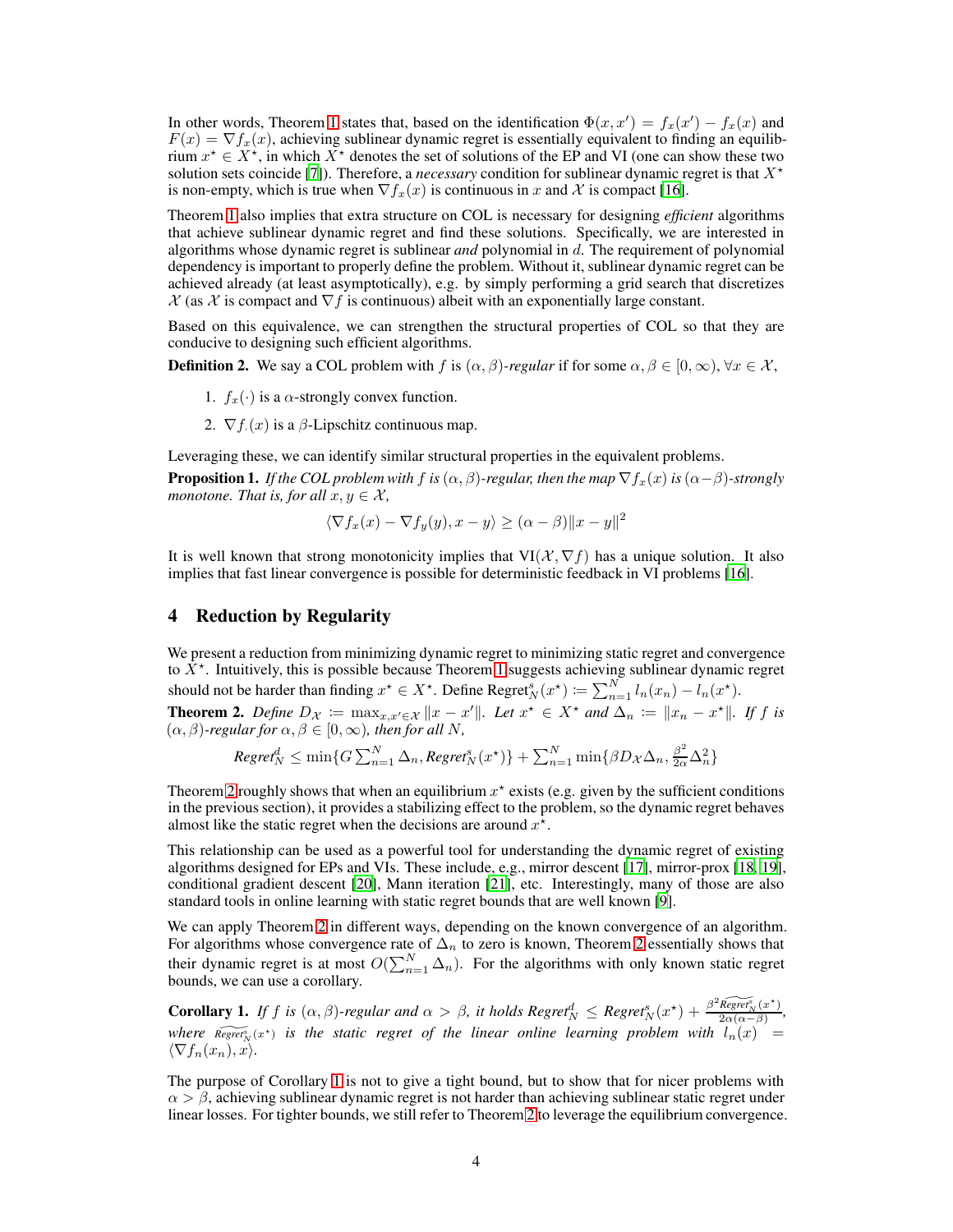In other words, Theorem [1](#page-2-3) states that, based on the identification  $\Phi(x, x') = f_x(x') - f_x(x)$  and  $F(x) = \nabla f_x(x)$ , achieving sublinear dynamic regret is essentially equivalent to finding an equilibrium  $x^* \in X^*$ , in which  $X^*$  denotes the set of solutions of the EP and VI (one can show these two solution sets coincide [\[7](#page-6-6)]). Therefore, a *necessary* condition for sublinear dynamic regret is that  $X^*$ is non-empty, which is true when  $\nabla f_x(x)$  is continuous in x and X is compact [\[16](#page-7-0)].

Theorem [1](#page-2-3) also implies that extra structure on COL is necessary for designing *efficient* algorithms that achieve sublinear dynamic regret and find these solutions. Specifically, we are interested in algorithms whose dynamic regret is sublinear *and* polynomial in d. The requirement of polynomial dependency is important to properly define the problem. Without it, sublinear dynamic regret can be achieved already (at least asymptotically), e.g. by simply performing a grid search that discretizes  $X$  (as X is compact and  $\nabla f$  is continuous) albeit with an exponentially large constant.

Based on this equivalence, we can strengthen the structural properties of COL so that they are conducive to designing such efficient algorithms.

**Definition 2.** We say a COL problem with f is  $(\alpha, \beta)$ -regular if for some  $\alpha, \beta \in [0, \infty)$ ,  $\forall x \in \mathcal{X}$ ,

- 1.  $f_x(\cdot)$  is a  $\alpha$ -strongly convex function.
- 2.  $\nabla f(x)$  is a  $\beta$ -Lipschitz continuous map.

<span id="page-3-2"></span>Leveraging these, we can identify similar structural properties in the equivalent problems.

**Proposition 1.** *If the COL problem with* f *is*  $(\alpha, \beta)$ *-regular, then the map*  $\nabla f_x(x)$  *is*  $(\alpha - \beta)$ *-strongly monotone. That is, for all*  $x, y \in \mathcal{X}$ ,

$$
\langle \nabla f_x(x) - \nabla f_y(y), x - y \rangle \ge (\alpha - \beta) \|x - y\|^2
$$

It is well known that strong monotonicity implies that  $VI(\mathcal{X}, \nabla f)$  has a unique solution. It also implies that fast linear convergence is possible for deterministic feedback in VI problems [\[16\]](#page-7-0).

# 4 Reduction by Regularity

<span id="page-3-0"></span>We present a reduction from minimizing dynamic regret to minimizing static regret and convergence to  $\bar{X}^{\star}$ . Intuitively, this is possible because Theorem [1](#page-2-3) suggests achieving sublinear dynamic regret should not be harder than finding  $x^* \in X^*$ . Define Regret $_N^s(x^*) \coloneqq \sum_{n=1}^N l_n(x_n) - l_n(x^*)$ . **Theorem 2.** Define  $D_{\mathcal{X}} := \max_{x, x' \in \mathcal{X}} \|x - x'\|$ . Let  $x^* \in X^*$  and  $\Delta_n := \|x_n - x^*\|$ . If f is  $(\alpha, \beta)$ *-regular for*  $\alpha, \beta \in [0, \infty)$ *, then for all N*,

$$
\textit{Regret}_N^d \leq \min\{G\sum_{n=1}^N \Delta_n, \textit{Regret}_N^s(x^\star)\} + \sum_{n=1}^N \min\{\beta D_\mathcal{X}\Delta_n, \frac{\beta^2}{2\alpha}\Delta_n^2\}
$$

Theorem [2](#page-3-0) roughly shows that when an equilibrium  $x^*$  exists (e.g. given by the sufficient conditions in the previous section), it provides a stabilizing effect to the problem, so the dynamic regret behaves almost like the static regret when the decisions are around  $x^*$ .

This relationship can be used as a powerful tool for understanding the dynamic regret of existing algorithms designed for EPs and VIs. These include, e.g., mirror descent [\[17\]](#page-7-1), mirror-prox [\[18,](#page-7-2) [19\]](#page-7-3), conditional gradient descent [\[20](#page-7-4)], Mann iteration [\[21](#page-7-5)], etc. Interestingly, many of those are also standard tools in online learning with static regret bounds that are well known [\[9\]](#page-6-8).

We can apply Theorem [2](#page-3-0) in different ways, depending on the known convergence of an algorithm. For algorithms whose convergence rate of  $\Delta_n$  to zero is known, Theorem [2](#page-3-0) essentially shows that their dynamic regret is at most  $O(\sum_{n=1}^{N} \Delta_n)$ . For the algorithms with only known static regret bounds, we can use a corollary.

<span id="page-3-1"></span>**Corollary 1.** *If f is* ( $\alpha$ , $\beta$ )*-regular and*  $\alpha > \beta$ , *it holds Regret*<sup>*n*</sup><sub>N</sub>  $\leq$  *Regret*<sup>*s*</sup><sub>N</sub>( $x^*$ ) +  $\frac{\beta^2 \text{Regret}_N^s(x^*)}{2\alpha(\alpha-\beta)}$  $\frac{\text{Regret}_N(x)}{2\alpha(\alpha-\beta)},$ where  $\widetilde{Regret}^s_N(x^*)$  is the static regret of the linear online learning problem with  $l_n(x)$  =  $\langle \nabla f_n(x_n), x \rangle$ .

The purpose of Corollary [1](#page-3-1) is not to give a tight bound, but to show that for nicer problems with  $\alpha > \beta$ , achieving sublinear dynamic regret is not harder than achieving sublinear static regret under linear losses. For tighter bounds, we still refer to Theorem [2](#page-3-0) to leverage the equilibrium convergence.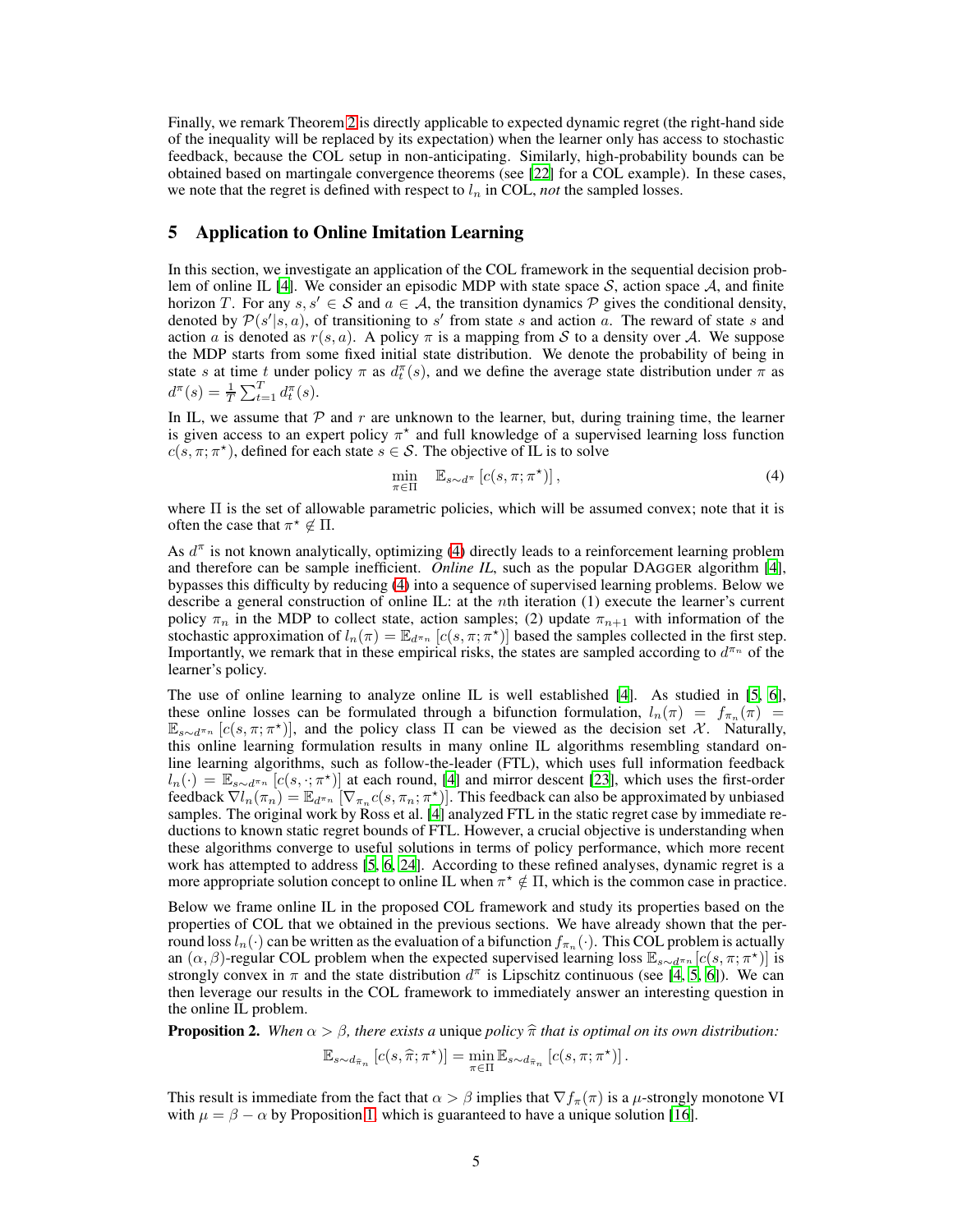Finally, we remark Theorem [2](#page-3-0) is directly applicable to expected dynamic regret (the right-hand side of the inequality will be replaced by its expectation) when the learner only has access to stochastic feedback, because the COL setup in non-anticipating. Similarly, high-probability bounds can be obtained based on martingale convergence theorems (see [\[22\]](#page-7-6) for a COL example). In these cases, we note that the regret is defined with respect to  $l_n$  in COL, *not* the sampled losses.

# <span id="page-4-0"></span>5 Application to Online Imitation Learning

In this section, we investigate an application of the COL framework in the sequential decision prob-lem of online IL [\[4\]](#page-6-3). We consider an episodic MDP with state space  $S$ , action space  $A$ , and finite horizon T. For any  $s, s' \in S$  and  $a \in A$ , the transition dynamics P gives the conditional density, denoted by  $\mathcal{P}(s'|s, a)$ , of transitioning to s' from state s and action a. The reward of state s and action a is denoted as  $r(s, a)$ . A policy  $\pi$  is a mapping from S to a density over A. We suppose the MDP starts from some fixed initial state distribution. We denote the probability of being in state s at time t under policy  $\pi$  as  $d_t^{\pi}(s)$ , and we define the average state distribution under  $\pi$  as  $d^{\pi}(s) = \frac{1}{T} \sum_{t=1}^{T} d^{\pi}_t(s).$ 

In IL, we assume that  $P$  and  $r$  are unknown to the learner, but, during training time, the learner is given access to an expert policy  $\pi^*$  and full knowledge of a supervised learning loss function  $c(s, \pi; \pi^*)$ , defined for each state  $s \in S$ . The objective of IL is to solve

<span id="page-4-1"></span>
$$
\min_{\pi \in \Pi} \quad \mathbb{E}_{s \sim d^{\pi}} \left[ c(s, \pi; \pi^{\star}) \right],\tag{4}
$$

where  $\Pi$  is the set of allowable parametric policies, which will be assumed convex; note that it is often the case that  $\pi^* \notin \Pi$ .

As  $d^{\pi}$  is not known analytically, optimizing [\(4\)](#page-4-1) directly leads to a reinforcement learning problem and therefore can be sample inefficient. *Online IL*, such as the popular DAGGER algorithm [\[4\]](#page-6-3), bypasses this difficulty by reducing [\(4\)](#page-4-1) into a sequence of supervised learning problems. Below we describe a general construction of online IL: at the nth iteration (1) execute the learner's current policy  $\pi_n$  in the MDP to collect state, action samples; (2) update  $\pi_{n+1}$  with information of the stochastic approximation of  $l_n(\pi) = \mathbb{E}_{d^{n_n}} [c(s, \pi; \pi^*)]$  based the samples collected in the first step. Importantly, we remark that in these empirical risks, the states are sampled according to  $d^{\pi_n}$  of the learner's policy.

The use of online learning to analyze online IL is well established [\[4\]](#page-6-3). As studied in [\[5,](#page-6-4) [6](#page-6-5)], these online losses can be formulated through a bifunction formulation,  $l_n(\pi) = f_{\pi_n}(\pi)$  $\mathbb{E}_{s\sim d^{\pi_n}}[c(s,\pi;\pi^*)]$ , and the policy class  $\Pi$  can be viewed as the decision set X. Naturally, this online learning formulation results in many online IL algorithms resembling standard online learning algorithms, such as follow-the-leader (FTL), which uses full information feedback  $l_n(\cdot) = \mathbb{E}_{s \sim d^{\pi_n}} [c(s, \cdot; \pi^*)]$  at each round, [\[4\]](#page-6-3) and mirror descent [\[23\]](#page-7-7), which uses the first-order feedback  $\nabla l_n(\pi_n) = \mathbb{E}_{d^{\pi_n}} [\nabla_{\pi_n} c(s, \pi_n; \pi^*)]$ . This feedback can also be approximated by unbiased samples. The original work by Ross et al. [\[4\]](#page-6-3) analyzed FTL in the static regret case by immediate reductions to known static regret bounds of FTL. However, a crucial objective is understanding when these algorithms converge to useful solutions in terms of policy performance, which more recent work has attempted to address [\[5](#page-6-4), [6,](#page-6-5) [24](#page-7-8)]. According to these refined analyses, dynamic regret is a more appropriate solution concept to online IL when  $\pi^* \notin \Pi$ , which is the common case in practice.

Below we frame online IL in the proposed COL framework and study its properties based on the properties of COL that we obtained in the previous sections. We have already shown that the perround loss  $l_n(\cdot)$  can be written as the evaluation of a bifunction  $f_{\pi_n}(\cdot)$ . This COL problem is actually an  $(\alpha, \beta)$ -regular COL problem when the expected supervised learning loss  $\mathbb{E}_{s \sim d^{\pi_n}}[c(s, \pi; \pi^*)]$  is strongly convex in  $\pi$  and the state distribution  $d^{\pi}$  is Lipschitz continuous (see [\[4,](#page-6-3) [5,](#page-6-4) [6](#page-6-5)]). We can then leverage our results in the COL framework to immediately answer an interesting question in the online IL problem.

**Proposition 2.** *When*  $\alpha > \beta$ *, there exists a unique policy*  $\hat{\pi}$  *that is optimal on its own distribution:* 

$$
\mathbb{E}_{s \sim d_{\widehat{\pi}_n}} [c(s, \widehat{\pi}; \pi^{\star})] = \min_{\pi \in \Pi} \mathbb{E}_{s \sim d_{\widehat{\pi}_n}} [c(s, \pi; \pi^{\star})].
$$

This result is immediate from the fact that  $\alpha > \beta$  implies that  $\nabla f_\pi(\pi)$  is a  $\mu$ -strongly monotone VI with  $\mu = \beta - \alpha$  by Proposition [1,](#page-3-2) which is guaranteed to have a unique solution [\[16](#page-7-0)].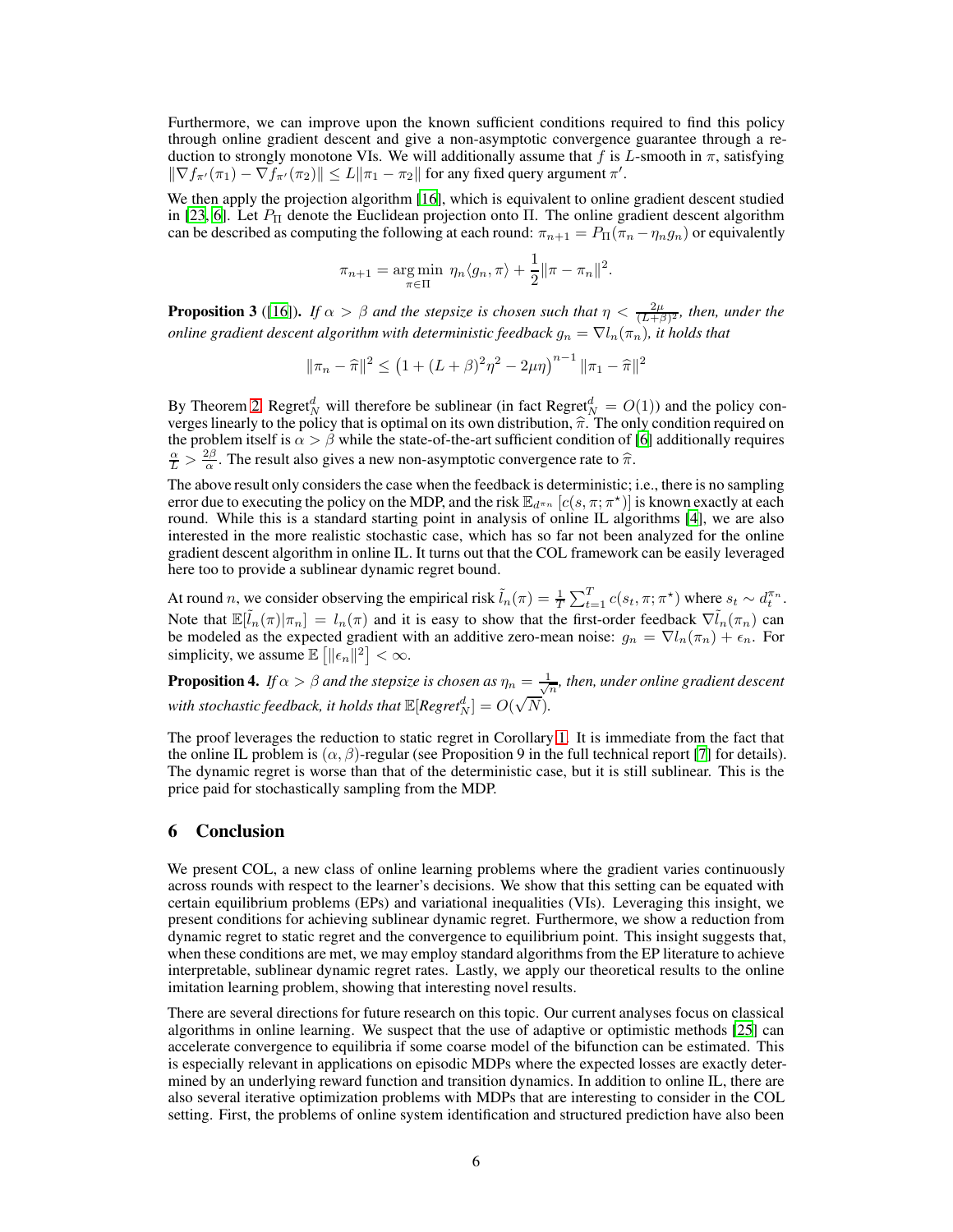Furthermore, we can improve upon the known sufficient conditions required to find this policy through online gradient descent and give a non-asymptotic convergence guarantee through a reduction to strongly monotone VIs. We will additionally assume that f is L-smooth in  $\pi$ , satisfying  $\|\nabla f_{\pi'}(\pi_1) - \nabla f_{\pi'}(\pi_2)\| \leq L \|\pi_1 - \pi_2\|$  for any fixed query argument  $\pi'$ .

We then apply the projection algorithm [\[16\]](#page-7-0), which is equivalent to online gradient descent studied in [\[23](#page-7-7), [6](#page-6-5)]. Let  $P_{\Pi}$  denote the Euclidean projection onto  $\Pi$ . The online gradient descent algorithm can be described as computing the following at each round:  $\pi_{n+1} = P_{\Pi}(\pi_n - \eta_n g_n)$  or equivalently

$$
\pi_{n+1} = \underset{\pi \in \Pi}{\arg \min} \ \eta_n \langle g_n, \pi \rangle + \frac{1}{2} ||\pi - \pi_n||^2.
$$

**Proposition 3** ([\[16\]](#page-7-0)). *If*  $\alpha > \beta$  *and the stepsize is chosen such that*  $\eta < \frac{2\mu}{(L+\beta)^2}$ *, then, under the online gradient descent algorithm with deterministic feedback*  $g_n = \nabla l_n(\pi_n)$ , *it holds that* 

$$
\|\pi_n - \hat{\pi}\|^2 \le (1 + (L + \beta)^2 \eta^2 - 2\mu \eta)^{n-1} \|\pi_1 - \hat{\pi}\|^2
$$

By Theorem [2,](#page-3-0) Regret<sup>d</sup><sub>N</sub> will therefore be sublinear (in fact Regret<sup>d</sup><sub>N</sub> =  $O(1)$ ) and the policy converges linearly to the policy that is optimal on its own distribution,  $\hat{\pi}$ . The only condition required on the problem itself is  $\alpha > \beta$  while the state-of-the-art sufficient condition of [\[6](#page-6-5)] additionally requires  $\frac{\alpha}{L} > \frac{2\beta}{\alpha}$ . The result also gives a new non-asymptotic convergence rate to  $\hat{\pi}$ .

The above result only considers the case when the feedback is deterministic; i.e., there is no sampling error due to executing the policy on the MDP, and the risk  $\mathbb{E}_{d^{n}n}$   $[c(s, \pi; \pi^*)]$  is known exactly at each round. While this is a standard starting point in analysis of online IL algorithms [\[4\]](#page-6-3), we are also interested in the more realistic stochastic case, which has so far not been analyzed for the online gradient descent algorithm in online IL. It turns out that the COL framework can be easily leveraged here too to provide a sublinear dynamic regret bound.

At round n, we consider observing the empirical risk  $\tilde{l}_n(\pi) = \frac{1}{T} \sum_{t=1}^T c(s_t, \pi; \pi^*)$  where  $s_t \sim d_t^{\pi_n}$ . Note that  $\mathbb{E}[\tilde{l}_n(\pi)|\pi_n] = l_n(\pi)$  and it is easy to show that the first-order feedback  $\nabla \tilde{l}_n(\pi_n)$  can be modeled as the expected gradient with an additive zero-mean noise:  $g_n = \nabla l_n(\pi_n) + \epsilon_n$ . For simplicity, we assume  $\mathbb{E} \left[ \|\epsilon_n\|^2 \right] < \infty$ .

**Proposition 4.** If  $\alpha > \beta$  and the stepsize is chosen as  $\eta_n = \frac{1}{\sqrt{n}}$ , then, under online gradient descent with stochastic feedback, it holds that  $\mathbb{E}[Regret_N^d] = O(\sqrt{N}).$ 

The proof leverages the reduction to static regret in Corollary [1.](#page-3-1) It is immediate from the fact that the online IL problem is  $(\alpha, \beta)$ -regular (see Proposition 9 in the full technical report [\[7](#page-6-6)] for details). The dynamic regret is worse than that of the deterministic case, but it is still sublinear. This is the price paid for stochastically sampling from the MDP.

# 6 Conclusion

We present COL, a new class of online learning problems where the gradient varies continuously across rounds with respect to the learner's decisions. We show that this setting can be equated with certain equilibrium problems (EPs) and variational inequalities (VIs). Leveraging this insight, we present conditions for achieving sublinear dynamic regret. Furthermore, we show a reduction from dynamic regret to static regret and the convergence to equilibrium point. This insight suggests that, when these conditions are met, we may employ standard algorithms from the EP literature to achieve interpretable, sublinear dynamic regret rates. Lastly, we apply our theoretical results to the online imitation learning problem, showing that interesting novel results.

There are several directions for future research on this topic. Our current analyses focus on classical algorithms in online learning. We suspect that the use of adaptive or optimistic methods [\[25\]](#page-7-9) can accelerate convergence to equilibria if some coarse model of the bifunction can be estimated. This is especially relevant in applications on episodic MDPs where the expected losses are exactly determined by an underlying reward function and transition dynamics. In addition to online IL, there are also several iterative optimization problems with MDPs that are interesting to consider in the COL setting. First, the problems of online system identification and structured prediction have also been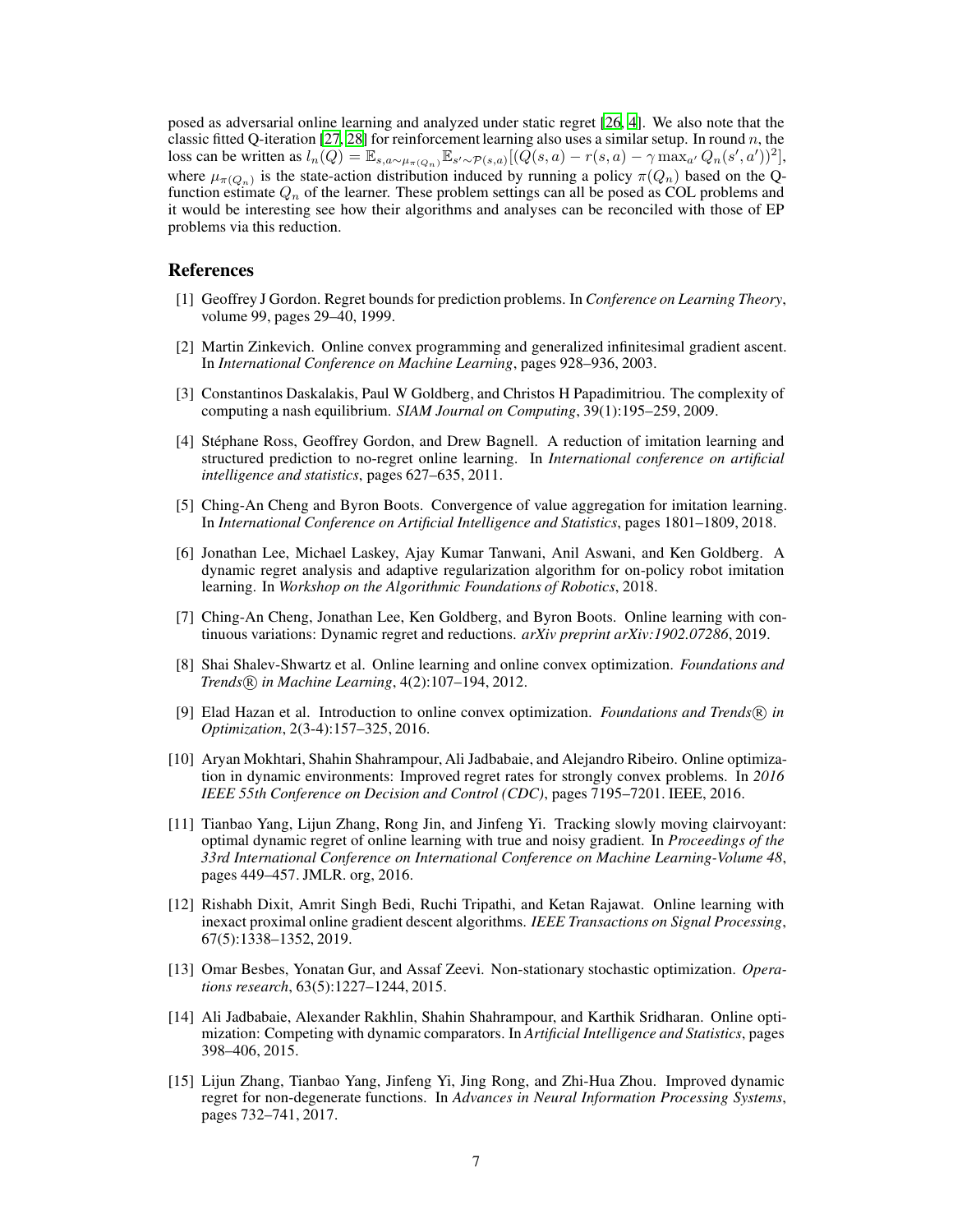posed as adversarial online learning and analyzed under static regret [\[26](#page-7-10), [4](#page-6-3)]. We also note that the classic fitted Q-iteration [\[27,](#page-7-11) [28](#page-7-12)] for reinforcement learning also uses a similar setup. In round n, the loss can be written as  $l_n(Q) = \mathbb{E}_{s,a \sim \mu_{\pi(Q_n)}} \mathbb{E}_{s' \sim \mathcal{P}(s,a)}[(Q(s,a) - r(s,a) - \gamma \max_{a'} Q_n(s',a'))^2]$ , where  $\mu_{\pi(Q_n)}$  is the state-action distribution induced by running a policy  $\pi(Q_n)$  based on the Qfunction estimate  $Q_n$  of the learner. These problem settings can all be posed as COL problems and it would be interesting see how their algorithms and analyses can be reconciled with those of EP problems via this reduction.

#### References

- <span id="page-6-0"></span>[1] Geoffrey J Gordon. Regret bounds for prediction problems. In *Conference on Learning Theory*, volume 99, pages 29–40, 1999.
- <span id="page-6-1"></span>[2] Martin Zinkevich. Online convex programming and generalized infinitesimal gradient ascent. In *International Conference on Machine Learning*, pages 928–936, 2003.
- <span id="page-6-2"></span>[3] Constantinos Daskalakis, Paul W Goldberg, and Christos H Papadimitriou. The complexity of computing a nash equilibrium. *SIAM Journal on Computing*, 39(1):195–259, 2009.
- <span id="page-6-3"></span>[4] Stéphane Ross, Geoffrey Gordon, and Drew Bagnell. A reduction of imitation learning and structured prediction to no-regret online learning. In *International conference on artificial intelligence and statistics*, pages 627–635, 2011.
- <span id="page-6-4"></span>[5] Ching-An Cheng and Byron Boots. Convergence of value aggregation for imitation learning. In *International Conference on Artificial Intelligence and Statistics*, pages 1801–1809, 2018.
- <span id="page-6-5"></span>[6] Jonathan Lee, Michael Laskey, Ajay Kumar Tanwani, Anil Aswani, and Ken Goldberg. A dynamic regret analysis and adaptive regularization algorithm for on-policy robot imitation learning. In *Workshop on the Algorithmic Foundations of Robotics*, 2018.
- <span id="page-6-6"></span>[7] Ching-An Cheng, Jonathan Lee, Ken Goldberg, and Byron Boots. Online learning with continuous variations: Dynamic regret and reductions. *arXiv preprint arXiv:1902.07286*, 2019.
- <span id="page-6-7"></span>[8] Shai Shalev-Shwartz et al. Online learning and online convex optimization. *Foundations and Trends* <sup>R</sup> *in Machine Learning*, 4(2):107–194, 2012.
- <span id="page-6-8"></span>[9] Elad Hazan et al. Introduction to online convex optimization. *Foundations and Trends* <sup>R</sup> *in Optimization*, 2(3-4):157–325, 2016.
- <span id="page-6-9"></span>[10] Aryan Mokhtari, Shahin Shahrampour, Ali Jadbabaie, and Alejandro Ribeiro. Online optimization in dynamic environments: Improved regret rates for strongly convex problems. In *2016 IEEE 55th Conference on Decision and Control (CDC)*, pages 7195–7201. IEEE, 2016.
- <span id="page-6-10"></span>[11] Tianbao Yang, Lijun Zhang, Rong Jin, and Jinfeng Yi. Tracking slowly moving clairvoyant: optimal dynamic regret of online learning with true and noisy gradient. In *Proceedings of the 33rd International Conference on International Conference on Machine Learning-Volume 48*, pages 449–457. JMLR. org, 2016.
- <span id="page-6-11"></span>[12] Rishabh Dixit, Amrit Singh Bedi, Ruchi Tripathi, and Ketan Rajawat. Online learning with inexact proximal online gradient descent algorithms. *IEEE Transactions on Signal Processing*, 67(5):1338–1352, 2019.
- <span id="page-6-12"></span>[13] Omar Besbes, Yonatan Gur, and Assaf Zeevi. Non-stationary stochastic optimization. *Operations research*, 63(5):1227–1244, 2015.
- <span id="page-6-13"></span>[14] Ali Jadbabaie, Alexander Rakhlin, Shahin Shahrampour, and Karthik Sridharan. Online optimization: Competing with dynamic comparators. In *Artificial Intelligence and Statistics*, pages 398–406, 2015.
- <span id="page-6-14"></span>[15] Lijun Zhang, Tianbao Yang, Jinfeng Yi, Jing Rong, and Zhi-Hua Zhou. Improved dynamic regret for non-degenerate functions. In *Advances in Neural Information Processing Systems*, pages 732–741, 2017.